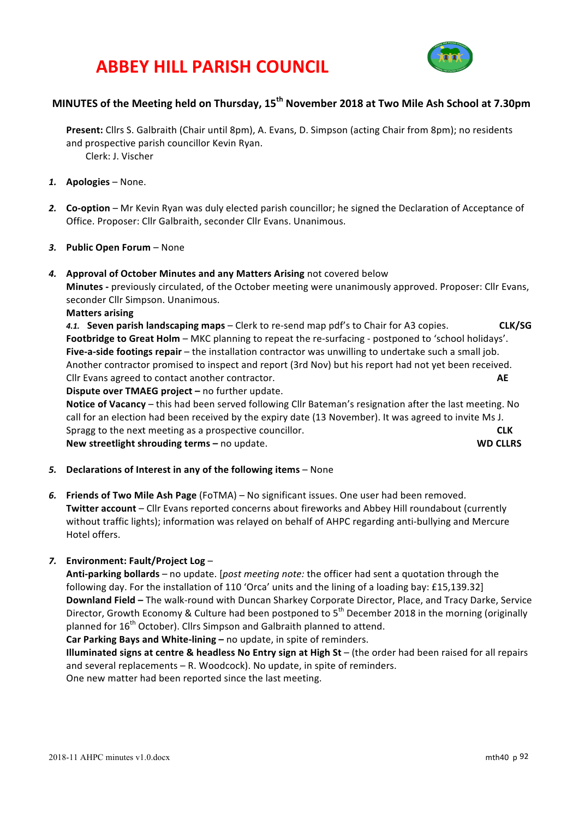# **ABBEY HILL PARISH COUNCIL**



# **MINUTES of the Meeting held on Thursday, 15th November 2018 at Two Mile Ash School at 7.30pm**

**Present:** Cllrs S. Galbraith (Chair until 8pm), A. Evans, D. Simpson (acting Chair from 8pm); no residents and prospective parish councillor Kevin Ryan. Clerk: J. Vischer

- *1.* **Apologies** None.
- 2. **Co-option** Mr Kevin Ryan was duly elected parish councillor; he signed the Declaration of Acceptance of Office. Proposer: Cllr Galbraith, seconder Cllr Evans. Unanimous.
- 3. Public Open Forum None

#### 4. **Approval of October Minutes and any Matters Arising** not covered below

**Minutes** - previously circulated, of the October meeting were unanimously approved. Proposer: Cllr Evans, seconder Cllr Simpson. Unanimous.

#### **Matters arising**

4.1. **Seven parish landscaping maps** – Clerk to re-send map pdf's to Chair for A3 copies. **CLK/SG** Footbridge to Great Holm – MKC planning to repeat the re-surfacing - postponed to 'school holidays'. **Five-a-side footings repair** – the installation contractor was unwilling to undertake such a small job. Another contractor promised to inspect and report (3rd Nov) but his report had not yet been received. Cllr Evans agreed to contact another contractor. **AE** 

**Dispute over TMAEG project** – no further update.

**Notice of Vacancy** – this had been served following Cllr Bateman's resignation after the last meeting. No call for an election had been received by the expiry date (13 November). It was agreed to invite Ms J. Spragg to the next meeting as a prospective councillor. **EXALL COUNTER SERVICE COUNTER New streetlight shrouding terms –** no update. **WD CLLRS**

- 5. **Declarations of Interest in any of the following items** None
- **6.** Friends of Two Mile Ash Page (FoTMA) No significant issues. One user had been removed. **Twitter account** – Cllr Evans reported concerns about fireworks and Abbey Hill roundabout (currently without traffic lights); information was relayed on behalf of AHPC regarding anti-bullying and Mercure Hotel offers.

### *7.* **Environment: Fault/Project Log** –

**Anti-parking bollards** – no update. [*post meeting note:* the officer had sent a quotation through the following day. For the installation of 110 'Orca' units and the lining of a loading bay: £15,139.32] **Downland Field -** The walk-round with Duncan Sharkey Corporate Director, Place, and Tracy Darke, Service Director, Growth Economy & Culture had been postponed to  $5<sup>th</sup>$  December 2018 in the morning (originally planned for 16<sup>th</sup> October). Cllrs Simpson and Galbraith planned to attend.

Car Parking Bays and White-lining - no update, in spite of reminders.

**Illuminated signs at centre & headless No Entry sign at High St** – (the order had been raised for all repairs and several replacements  $-$  R. Woodcock). No update, in spite of reminders.

One new matter had been reported since the last meeting.